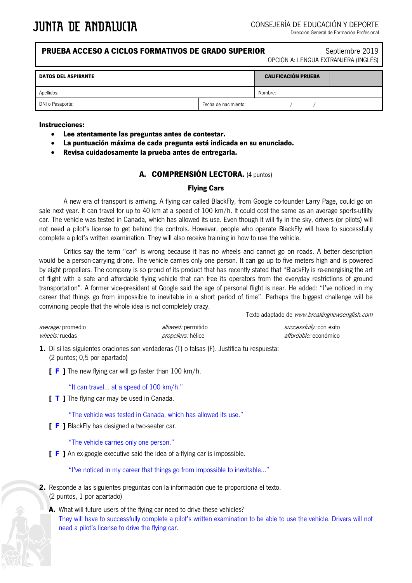| <b>PRUEBA ACCESO A CICLOS FORMATIVOS DE GRADO SUPERIOR</b><br>Septiembre 2019<br>OPCIÓN A: LENGUA EXTRANJERA (INGLÉS) |         |  |                            |  |
|-----------------------------------------------------------------------------------------------------------------------|---------|--|----------------------------|--|
|                                                                                                                       |         |  |                            |  |
|                                                                                                                       | Nombre: |  |                            |  |
| Fecha de nacimiento:                                                                                                  |         |  |                            |  |
|                                                                                                                       |         |  | <b>CALIFICACIÓN PRUEBA</b> |  |

#### **Instrucciones:**

- **Lee atentamente las preguntas antes de contestar.**
- **La puntuación máxima de cada pregunta está indicada en su enunciado.**
- **Revisa cuidadosamente la prueba antes de entregarla.**

## **A. COMPRENSIÓN LECTORA.** (4 puntos)

## **Flying Cars**

A new era of transport is arriving. A flying car called BlackFly, from Google co-founder Larry Page, could go on sale next year. It can travel for up to 40 km at a speed of 100 km/h. It could cost the same as an average sports-utility car. The vehicle was tested in Canada, which has allowed its use. Even though it will fly in the sky, drivers (or pilots) will not need a pilot's license to get behind the controls. However, people who operate BlackFly will have to successfully complete a pilot's written examination. They will also receive training in how to use the vehicle.

Critics say the term "car" is wrong because it has no wheels and cannot go on roads. A better description would be a person-carrying drone. The vehicle carries only one person. It can go up to five meters high and is powered by eight propellers. The company is so proud of its product that has recently stated that "BlackFly is re-energising the art of flight with a safe and affordable flying vehicle that can free its operators from the everyday restrictions of ground transportation". A former vice-president at Google said the age of personal flight is near. He added: "I've noticed in my career that things go from impossible to inevitable in a short period of time". Perhaps the biggest challenge will be convincing people that the whole idea is not completely crazy.

Texto adaptado de www.breakingnewsenglish.com

| <i>average:</i> promedio | <i>allowed:</i> permitido | <i>successfully:</i> con éxito |
|--------------------------|---------------------------|--------------------------------|
| <i>wheels:</i> ruedas    | <i>propellers:</i> hélice | <i>affordable:</i> económico   |

**1.** Di si las siguientes oraciones son verdaderas (T) o falsas (F). Justifica tu respuesta: (2 puntos; 0,5 por apartado)

**[ F ]** The new flying car will go faster than 100 km/h.

"It can travel… at a speed of 100 km/h."

**[ T ]** The flying car may be used in Canada.

"The vehicle was tested in Canada, which has allowed its use."

**[ F ]** BlackFly has designed a two-seater car.

"The vehicle carries only one person."

**[ F ]** An ex-google executive said the idea of a flying car is impossible.

"I've noticed in my career that things go from impossible to inevitable…"

- **2.** Responde a las siguientes preguntas con la información que te proporciona el texto. (2 puntos, 1 por apartado)
	- **A.** What will future users of the flying car need to drive these vehicles? They will have to successfully complete a pilot's written examination to be able to use the vehicle. Drivers will not need a pilot's license to drive the flying car.